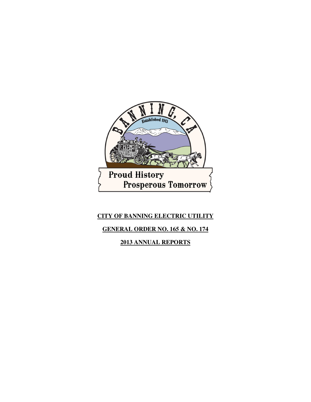

# **CITY OF BANNING ELECTRIC UTILITY**

## **GENERAL ORDER NO. 165 & NO. 174**

**2013 ANNUAL REPORTS**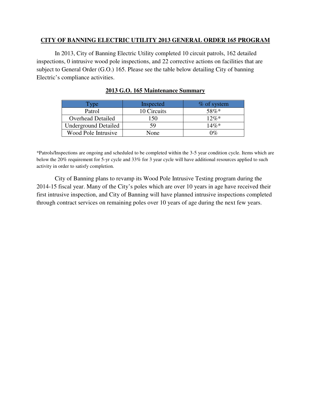#### **CITY OF BANNING ELECTRIC UTILITY 2013 GENERAL ORDER 165 PROGRAM**

In 2013, City of Banning Electric Utility completed 10 circuit patrols, 162 detailed inspections, 0 intrusive wood pole inspections, and 22 corrective actions on facilities that are subject to General Order (G.O.) 165. Please see the table below detailing City of banning Electric's compliance activities.

| <b>Type</b>                 | Inspected   | $%$ of system |
|-----------------------------|-------------|---------------|
| Patrol                      | 10 Circuits | 58%*          |
| <b>Overhead Detailed</b>    | 150         | $12\%*$       |
| <b>Underground Detailed</b> | 59          | $14\%*$       |
| Wood Pole Intrusive         | None        | በ‰            |

## **2013 G.O. 165 Maintenance Summary**

\*Patrols/Inspections are ongoing and scheduled to be completed within the 3-5 year condition cycle. Items which are below the 20% requirement for 5-yr cycle and 33% for 3 year cycle will have additional resources applied to such activity in order to satisfy completion.

 City of Banning plans to revamp its Wood Pole Intrusive Testing program during the 2014-15 fiscal year. Many of the City's poles which are over 10 years in age have received their first intrusive inspection, and City of Banning will have planned intrusive inspections completed through contract services on remaining poles over 10 years of age during the next few years.